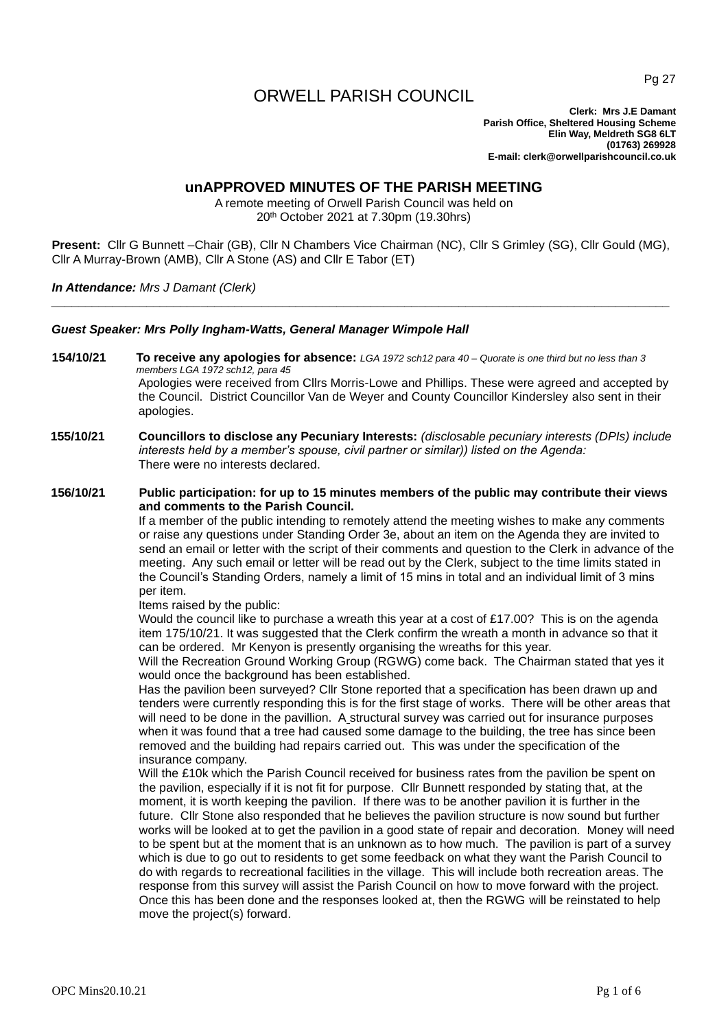# ORWELL PARISH COUNCIL

**Clerk: Mrs J.E Damant Parish Office, Sheltered Housing Scheme Elin Way, Meldreth SG8 6LT (01763) 269928 E-mail: clerk@orwellparishcouncil.co.uk**

## **unAPPROVED MINUTES OF THE PARISH MEETING**

A remote meeting of Orwell Parish Council was held on 20th October 2021 at 7.30pm (19.30hrs)

**Present:** Cllr G Bunnett –Chair (GB), Cllr N Chambers Vice Chairman (NC), Cllr S Grimley (SG), Cllr Gould (MG), Cllr A Murray-Brown (AMB), Cllr A Stone (AS) and Cllr E Tabor (ET)

*\_\_\_\_\_\_\_\_\_\_\_\_\_\_\_\_\_\_\_\_\_\_\_\_\_\_\_\_\_\_\_\_\_\_\_\_\_\_\_\_\_\_\_\_\_\_\_\_\_\_\_\_\_\_\_\_\_\_\_\_\_\_\_\_\_\_\_\_\_\_\_\_\_\_\_\_\_\_\_\_\_\_\_\_\_\_\_\_\_\_\_*

*In Attendance: Mrs J Damant (Clerk)*

*Guest Speaker: Mrs Polly Ingham-Watts, General Manager Wimpole Hall*

- **154/10/21 To receive any apologies for absence:** *LGA 1972 sch12 para 40 – Quorate is one third but no less than 3 members LGA 1972 sch12, para 45* Apologies were received from Cllrs Morris-Lowe and Phillips. These were agreed and accepted by the Council. District Councillor Van de Weyer and County Councillor Kindersley also sent in their apologies.
- **155/10/21 Councillors to disclose any Pecuniary Interests:** *(disclosable pecuniary interests (DPIs) include interests held by a member's spouse, civil partner or similar)) listed on the Agenda:* There were no interests declared.

## **156/10/21 Public participation: for up to 15 minutes members of the public may contribute their views and comments to the Parish Council.**

If a member of the public intending to remotely attend the meeting wishes to make any comments or raise any questions under Standing Order 3e, about an item on the Agenda they are invited to send an email or letter with the script of their comments and question to the Clerk in advance of the meeting. Any such email or letter will be read out by the Clerk, subject to the time limits stated in the Council's Standing Orders, namely a limit of 15 mins in total and an individual limit of 3 mins per item.

Items raised by the public:

Would the council like to purchase a wreath this year at a cost of £17.00? This is on the agenda item 175/10/21. It was suggested that the Clerk confirm the wreath a month in advance so that it can be ordered. Mr Kenyon is presently organising the wreaths for this year.

Will the Recreation Ground Working Group (RGWG) come back. The Chairman stated that yes it would once the background has been established.

Has the pavilion been surveyed? Cllr Stone reported that a specification has been drawn up and tenders were currently responding this is for the first stage of works. There will be other areas that will need to be done in the pavillion. A structural survey was carried out for insurance purposes when it was found that a tree had caused some damage to the building, the tree has since been removed and the building had repairs carried out. This was under the specification of the insurance company.

Will the £10k which the Parish Council received for business rates from the pavilion be spent on the pavilion, especially if it is not fit for purpose. Cllr Bunnett responded by stating that, at the moment, it is worth keeping the pavilion. If there was to be another pavilion it is further in the future. Cllr Stone also responded that he believes the pavilion structure is now sound but further works will be looked at to get the pavilion in a good state of repair and decoration. Money will need to be spent but at the moment that is an unknown as to how much. The pavilion is part of a survey which is due to go out to residents to get some feedback on what they want the Parish Council to do with regards to recreational facilities in the village. This will include both recreation areas. The response from this survey will assist the Parish Council on how to move forward with the project. Once this has been done and the responses looked at, then the RGWG will be reinstated to help move the project(s) forward.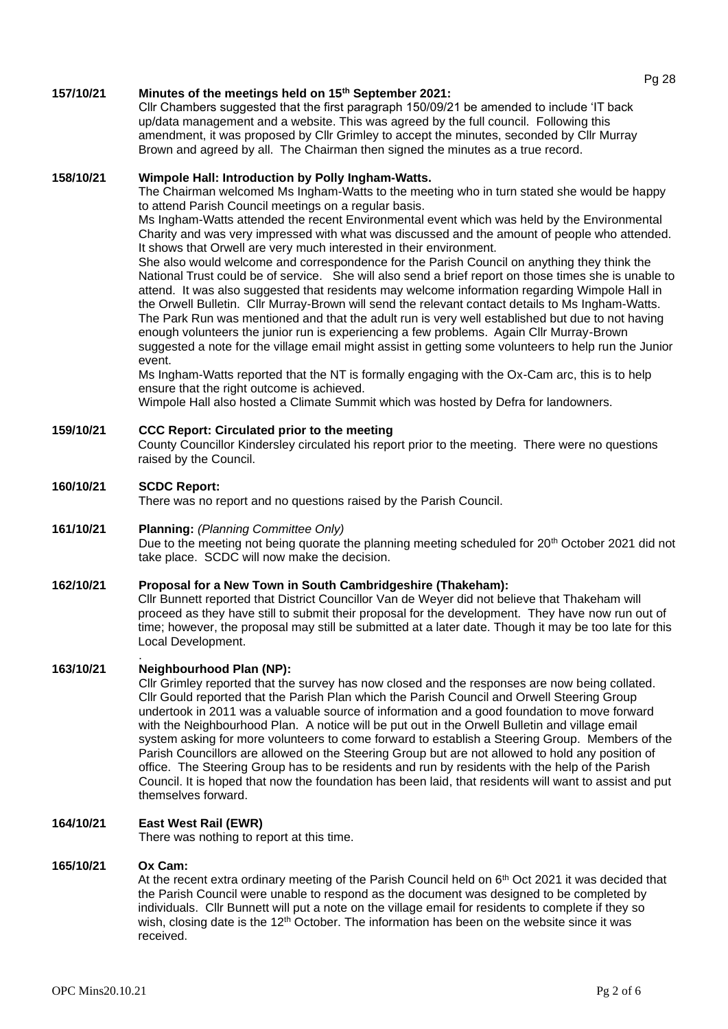#### **157/10/21 Minutes of the meetings held on 15th September 2021:**

Cllr Chambers suggested that the first paragraph 150/09/21 be amended to include 'IT back up/data management and a website. This was agreed by the full council. Following this amendment, it was proposed by Cllr Grimley to accept the minutes, seconded by Cllr Murray Brown and agreed by all. The Chairman then signed the minutes as a true record.

## **158/10/21 Wimpole Hall: Introduction by Polly Ingham-Watts.**

The Chairman welcomed Ms Ingham-Watts to the meeting who in turn stated she would be happy to attend Parish Council meetings on a regular basis.

Ms Ingham-Watts attended the recent Environmental event which was held by the Environmental Charity and was very impressed with what was discussed and the amount of people who attended. It shows that Orwell are very much interested in their environment.

She also would welcome and correspondence for the Parish Council on anything they think the National Trust could be of service. She will also send a brief report on those times she is unable to attend. It was also suggested that residents may welcome information regarding Wimpole Hall in the Orwell Bulletin. Cllr Murray-Brown will send the relevant contact details to Ms Ingham-Watts. The Park Run was mentioned and that the adult run is very well established but due to not having enough volunteers the junior run is experiencing a few problems. Again Cllr Murray-Brown suggested a note for the village email might assist in getting some volunteers to help run the Junior event.

Ms Ingham-Watts reported that the NT is formally engaging with the Ox-Cam arc, this is to help ensure that the right outcome is achieved.

Wimpole Hall also hosted a Climate Summit which was hosted by Defra for landowners.

## **159/10/21 CCC Report: Circulated prior to the meeting**

County Councillor Kindersley circulated his report prior to the meeting. There were no questions raised by the Council.

## **160/10/21 SCDC Report:**

There was no report and no questions raised by the Parish Council.

#### **161/10/21 Planning:** *(Planning Committee Only)*

Due to the meeting not being quorate the planning meeting scheduled for 20<sup>th</sup> October 2021 did not take place. SCDC will now make the decision.

## **162/10/21 Proposal for a New Town in South Cambridgeshire (Thakeham):**

Cllr Bunnett reported that District Councillor Van de Weyer did not believe that Thakeham will proceed as they have still to submit their proposal for the development. They have now run out of time; however, the proposal may still be submitted at a later date. Though it may be too late for this Local Development.

## **163/10/21 Neighbourhood Plan (NP):**

.

Cllr Grimley reported that the survey has now closed and the responses are now being collated. Cllr Gould reported that the Parish Plan which the Parish Council and Orwell Steering Group undertook in 2011 was a valuable source of information and a good foundation to move forward with the Neighbourhood Plan. A notice will be put out in the Orwell Bulletin and village email system asking for more volunteers to come forward to establish a Steering Group. Members of the Parish Councillors are allowed on the Steering Group but are not allowed to hold any position of office. The Steering Group has to be residents and run by residents with the help of the Parish Council. It is hoped that now the foundation has been laid, that residents will want to assist and put themselves forward.

#### **164/10/21 East West Rail (EWR)**

There was nothing to report at this time.

## **165/10/21 Ox Cam:**

At the recent extra ordinary meeting of the Parish Council held on  $6<sup>th</sup>$  Oct 2021 it was decided that the Parish Council were unable to respond as the document was designed to be completed by individuals. Cllr Bunnett will put a note on the village email for residents to complete if they so wish, closing date is the 12<sup>th</sup> October. The information has been on the website since it was received.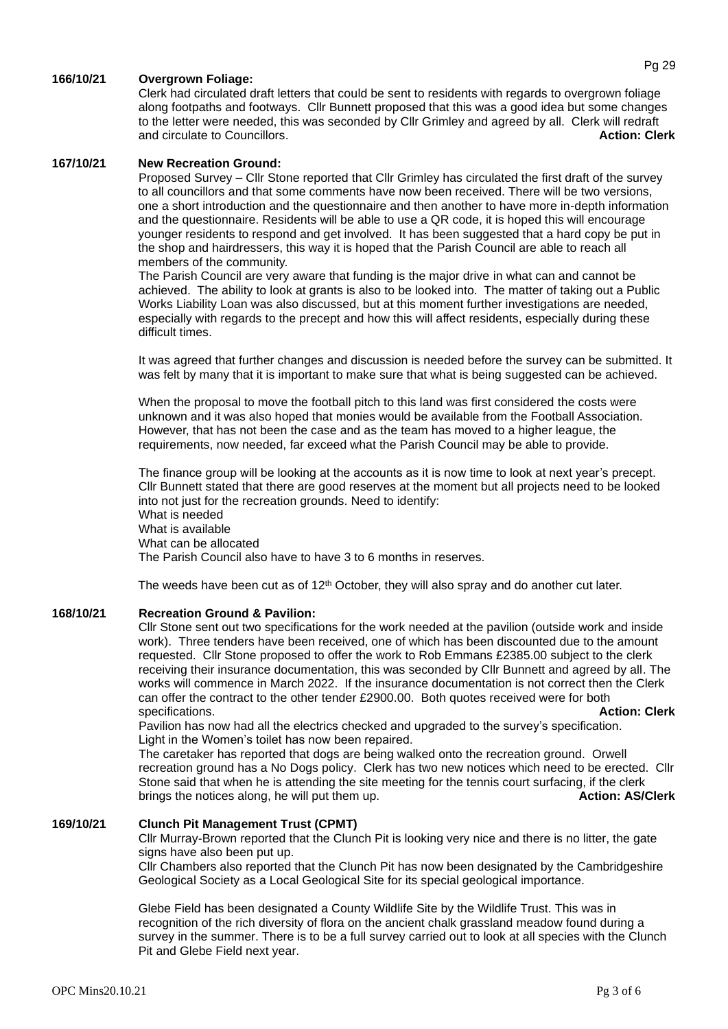## **166/10/21 Overgrown Foliage:**

Clerk had circulated draft letters that could be sent to residents with regards to overgrown foliage along footpaths and footways. Cllr Bunnett proposed that this was a good idea but some changes to the letter were needed, this was seconded by Cllr Grimley and agreed by all. Clerk will redraft and circulate to Councillors. **Action: Clerk**

#### **167/10/21 New Recreation Ground:**

Proposed Survey – Cllr Stone reported that Cllr Grimley has circulated the first draft of the survey to all councillors and that some comments have now been received. There will be two versions, one a short introduction and the questionnaire and then another to have more in-depth information and the questionnaire. Residents will be able to use a QR code, it is hoped this will encourage younger residents to respond and get involved. It has been suggested that a hard copy be put in the shop and hairdressers, this way it is hoped that the Parish Council are able to reach all members of the community.

The Parish Council are very aware that funding is the major drive in what can and cannot be achieved. The ability to look at grants is also to be looked into. The matter of taking out a Public Works Liability Loan was also discussed, but at this moment further investigations are needed, especially with regards to the precept and how this will affect residents, especially during these difficult times.

It was agreed that further changes and discussion is needed before the survey can be submitted. It was felt by many that it is important to make sure that what is being suggested can be achieved.

When the proposal to move the football pitch to this land was first considered the costs were unknown and it was also hoped that monies would be available from the Football Association. However, that has not been the case and as the team has moved to a higher league, the requirements, now needed, far exceed what the Parish Council may be able to provide.

The finance group will be looking at the accounts as it is now time to look at next year's precept. Cllr Bunnett stated that there are good reserves at the moment but all projects need to be looked into not just for the recreation grounds. Need to identify: What is needed What is available What can be allocated The Parish Council also have to have 3 to 6 months in reserves.

The weeds have been cut as of  $12<sup>th</sup>$  October, they will also spray and do another cut later.

#### **168/10/21 Recreation Ground & Pavilion:**

Cllr Stone sent out two specifications for the work needed at the pavilion (outside work and inside work). Three tenders have been received, one of which has been discounted due to the amount requested. Cllr Stone proposed to offer the work to Rob Emmans £2385.00 subject to the clerk receiving their insurance documentation, this was seconded by Cllr Bunnett and agreed by all. The works will commence in March 2022. If the insurance documentation is not correct then the Clerk can offer the contract to the other tender £2900.00. Both quotes received were for both specifications. **Action: Clerk Action: Clerk Action: Clerk Action: Clerk Action: Clerk** 

Pavilion has now had all the electrics checked and upgraded to the survey's specification. Light in the Women's toilet has now been repaired.

The caretaker has reported that dogs are being walked onto the recreation ground. Orwell recreation ground has a No Dogs policy. Clerk has two new notices which need to be erected. Cllr Stone said that when he is attending the site meeting for the tennis court surfacing, if the clerk brings the notices along, he will put them up. **Action: AS/Clerk Action: AS/Clerk** 

## **169/10/21 Clunch Pit Management Trust (CPMT)**

Cllr Murray-Brown reported that the Clunch Pit is looking very nice and there is no litter, the gate signs have also been put up.

Cllr Chambers also reported that the Clunch Pit has now been designated by the Cambridgeshire Geological Society as a Local Geological Site for its special geological importance.

Glebe Field has been designated a County Wildlife Site by the Wildlife Trust. This was in recognition of the rich diversity of flora on the ancient chalk grassland meadow found during a survey in the summer. There is to be a full survey carried out to look at all species with the Clunch Pit and Glebe Field next year.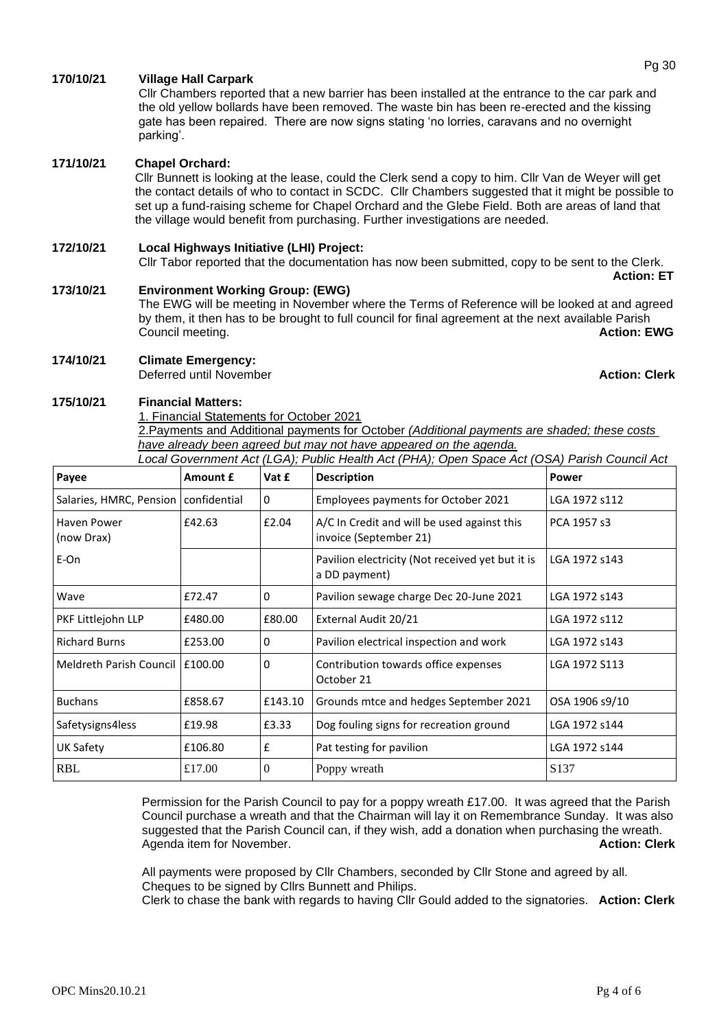## **170/10/21 Village Hall Carpark**

Cllr Chambers reported that a new barrier has been installed at the entrance to the car park and the old yellow bollards have been removed. The waste bin has been re-erected and the kissing gate has been repaired. There are now signs stating 'no lorries, caravans and no overnight parking'.

#### **171/10/21 Chapel Orchard:**

Cllr Bunnett is looking at the lease, could the Clerk send a copy to him. Cllr Van de Weyer will get the contact details of who to contact in SCDC. Cllr Chambers suggested that it might be possible to set up a fund-raising scheme for Chapel Orchard and the Glebe Field. Both are areas of land that the village would benefit from purchasing. Further investigations are needed.

## **172/10/21 Local Highways Initiative (LHI) Project:**

Cllr Tabor reported that the documentation has now been submitted, copy to be sent to the Clerk. **Action: ET**

## **173/10/21 Environment Working Group: (EWG)**

The EWG will be meeting in November where the Terms of Reference will be looked at and agreed by them, it then has to be brought to full council for final agreement at the next available Parish **Council meeting. Action: EWG** 

#### **174/10/21 Climate Emergency:**

**Deferred until November Action: Clerk Action: Clerk** 

#### **175/10/21 Financial Matters:**

1. Financial Statements for October 2021

2.Payments and Additional payments for October *(Additional payments are shaded; these costs have already been agreed but may not have appeared on the agenda. Local Government Act (LGA); Public Health Act (PHA); Open Space Act (OSA) Parish Council Act* 

| Payee                            | Amount £     | Vat £    | Local Outchmont Act (LOA), I abiic Health Act (FIA), Open Opace Act (OOA) Fansh Outlieir Act<br><b>Description</b> | <b>Power</b>     |
|----------------------------------|--------------|----------|--------------------------------------------------------------------------------------------------------------------|------------------|
| Salaries, HMRC, Pension          | confidential | 0        | Employees payments for October 2021                                                                                | LGA 1972 s112    |
| <b>Haven Power</b><br>(now Drax) | £42.63       | £2.04    | A/C In Credit and will be used against this<br>invoice (September 21)                                              | PCA 1957 s3      |
| E-On                             |              |          | Pavilion electricity (Not received yet but it is<br>a DD payment)                                                  | LGA 1972 s143    |
| Wave                             | £72.47       | 0        | Pavilion sewage charge Dec 20-June 2021                                                                            | LGA 1972 s143    |
| PKF Littlejohn LLP               | £480.00      | £80.00   | External Audit 20/21                                                                                               | LGA 1972 s112    |
| <b>Richard Burns</b>             | £253.00      | $\Omega$ | Pavilion electrical inspection and work                                                                            | LGA 1972 s143    |
| Meldreth Parish Council          | E100.00      | 0        | Contribution towards office expenses<br>October 21                                                                 | LGA 1972 S113    |
| <b>Buchans</b>                   | £858.67      | £143.10  | Grounds mtce and hedges September 2021                                                                             | OSA 1906 s9/10   |
| Safetysigns4less                 | £19.98       | £3.33    | Dog fouling signs for recreation ground                                                                            | LGA 1972 s144    |
| UK Safety                        | £106.80      | £        | Pat testing for pavilion                                                                                           | LGA 1972 s144    |
| <b>RBL</b>                       | £17.00       | $\theta$ | Poppy wreath                                                                                                       | S <sub>137</sub> |

Permission for the Parish Council to pay for a poppy wreath £17.00. It was agreed that the Parish Council purchase a wreath and that the Chairman will lay it on Remembrance Sunday. It was also suggested that the Parish Council can, if they wish, add a donation when purchasing the wreath. Agenda item for November. **Action: Clerk** Action: Clerk

All payments were proposed by Cllr Chambers, seconded by Cllr Stone and agreed by all. Cheques to be signed by Cllrs Bunnett and Philips.

Clerk to chase the bank with regards to having Cllr Gould added to the signatories. **Action: Clerk**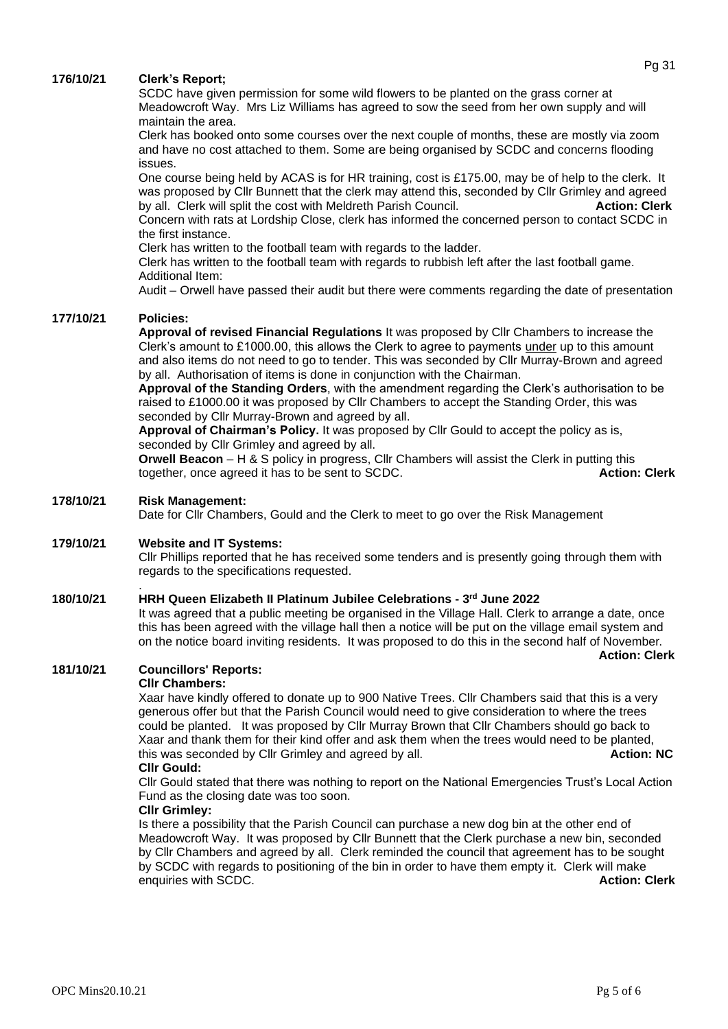## **176/10/21 Clerk's Report;**

SCDC have given permission for some wild flowers to be planted on the grass corner at Meadowcroft Way. Mrs Liz Williams has agreed to sow the seed from her own supply and will maintain the area.

Clerk has booked onto some courses over the next couple of months, these are mostly via zoom and have no cost attached to them. Some are being organised by SCDC and concerns flooding issues.

One course being held by ACAS is for HR training, cost is £175.00, may be of help to the clerk. It was proposed by Cllr Bunnett that the clerk may attend this, seconded by Cllr Grimley and agreed by all. Clerk will split the cost with Meldreth Parish Council. **Action: Clerk** Concern with rats at Lordship Close, clerk has informed the concerned person to contact SCDC in

the first instance.

Clerk has written to the football team with regards to the ladder.

Clerk has written to the football team with regards to rubbish left after the last football game. Additional Item:

Audit – Orwell have passed their audit but there were comments regarding the date of presentation

## **177/10/21 Policies:**

**Approval of revised Financial Regulations** It was proposed by Cllr Chambers to increase the Clerk's amount to £1000.00, this allows the Clerk to agree to payments under up to this amount and also items do not need to go to tender. This was seconded by Cllr Murray-Brown and agreed by all. Authorisation of items is done in conjunction with the Chairman.

**Approval of the Standing Orders**, with the amendment regarding the Clerk's authorisation to be raised to £1000.00 it was proposed by Cllr Chambers to accept the Standing Order, this was seconded by Cllr Murray-Brown and agreed by all.

**Approval of Chairman's Policy.** It was proposed by Cllr Gould to accept the policy as is, seconded by Cllr Grimley and agreed by all.

**Orwell Beacon** – H & S policy in progress, Cllr Chambers will assist the Clerk in putting this together, once agreed it has to be sent to SCDC. **Action: Clerk**

## **178/10/21 Risk Management:**

.

Date for Cllr Chambers, Gould and the Clerk to meet to go over the Risk Management

## **179/10/21 Website and IT Systems:**

Cllr Phillips reported that he has received some tenders and is presently going through them with regards to the specifications requested.

#### **180/10/21 HRH Queen Elizabeth II Platinum Jubilee Celebrations - 3 rd June 2022**

It was agreed that a public meeting be organised in the Village Hall. Clerk to arrange a date, once this has been agreed with the village hall then a notice will be put on the village email system and on the notice board inviting residents. It was proposed to do this in the second half of November.

 **Action: Clerk** 

## **181/10/21 Councillors' Reports:**

#### **Cllr Chambers:**

Xaar have kindly offered to donate up to 900 Native Trees. Cllr Chambers said that this is a very generous offer but that the Parish Council would need to give consideration to where the trees could be planted. It was proposed by Cllr Murray Brown that Cllr Chambers should go back to Xaar and thank them for their kind offer and ask them when the trees would need to be planted, this was seconded by Cllr Grimley and agreed by all. **Action: NC**

#### **Cllr Gould:**

Cllr Gould stated that there was nothing to report on the National Emergencies Trust's Local Action Fund as the closing date was too soon.

#### **Cllr Grimley:**

Is there a possibility that the Parish Council can purchase a new dog bin at the other end of Meadowcroft Way. It was proposed by Cllr Bunnett that the Clerk purchase a new bin, seconded by Cllr Chambers and agreed by all. Clerk reminded the council that agreement has to be sought by SCDC with regards to positioning of the bin in order to have them empty it. Clerk will make enquiries with SCDC. **Action: Clerk Action: Clerk Action: Clerk Action: Clerk**